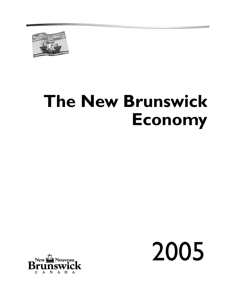

# **The New Brunswick Economy**



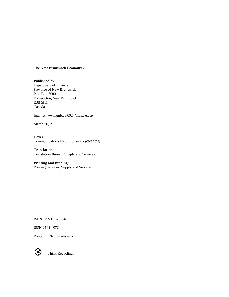#### **The New Brunswick Economy 2005**

**Published by:**  Department of Finance Province of New Brunswick P.O. Box 6000 Fredericton, New Brunswick E3B 5H1 Canada

Internet: www.gnb.ca/0024/index-e.asp

March 30, 2005

**Cover:** Communications New Brunswick (CNB 3023)

**Translation:** Translation Bureau, Supply and Services

**Printing and Binding:** Printing Services, Supply and Services

ISBN 1-55396-252-4

ISSN 0548-4073

Printed in New Brunswick



Think Recycling!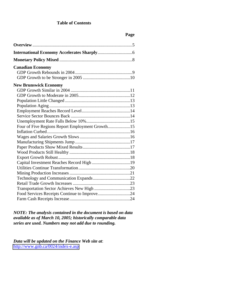#### **Table of Contents**

# **Page**

| <b>Canadian Economy</b>                         |  |
|-------------------------------------------------|--|
|                                                 |  |
|                                                 |  |
| <b>New Brunswick Economy</b>                    |  |
|                                                 |  |
|                                                 |  |
|                                                 |  |
|                                                 |  |
|                                                 |  |
|                                                 |  |
|                                                 |  |
| Four of Five Regions Report Employment Growth15 |  |
|                                                 |  |
|                                                 |  |
|                                                 |  |
|                                                 |  |
|                                                 |  |
|                                                 |  |
|                                                 |  |
|                                                 |  |
|                                                 |  |
|                                                 |  |
|                                                 |  |
|                                                 |  |
| Food Services Receipts Continue to Improve24    |  |
|                                                 |  |

*NOTE: The analysis contained in the document is based on data available as of March 10, 2005; historically comparable data series are used. Numbers may not add due to rounding.*

*Data will be updated on the Finance Web site at*: [http://www.gnb.ca/0024/index-e.asp](www.gnb.ca/0024/index-e.asp)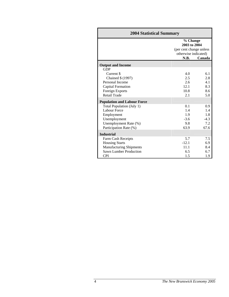| <b>2004 Statistical Summary</b>        |         |                                                                             |  |  |
|----------------------------------------|---------|-----------------------------------------------------------------------------|--|--|
|                                        |         | % Change<br>2003 to 2004<br>(per cent change unless<br>otherwise indicated) |  |  |
|                                        | N.B.    | Canada                                                                      |  |  |
|                                        |         |                                                                             |  |  |
| <b>Output and Income</b><br><b>GDP</b> |         |                                                                             |  |  |
| Current \$                             | 4.0     | 6.1                                                                         |  |  |
| Chained \$ (1997)                      | 2.5     | 2.8                                                                         |  |  |
| Personal Income                        | 2.6     | 4.1                                                                         |  |  |
| <b>Capital Formation</b>               | 12.1    | 8.3                                                                         |  |  |
| Foreign Exports                        | 10.8    | 8.6                                                                         |  |  |
| Retail Trade                           | 2.1     | 5.0                                                                         |  |  |
| <b>Population and Labour Force</b>     |         |                                                                             |  |  |
| Total Population (July 1)              | 0.1     | 0.9                                                                         |  |  |
| Labour Force                           | 1.4     | 1.4                                                                         |  |  |
| Employment                             | 1.9     | 1.8                                                                         |  |  |
| Unemployment                           | $-3.6$  | $-4.3$                                                                      |  |  |
| Unemployment Rate (%)                  | 9.8     | 7.2                                                                         |  |  |
| Participation Rate (%)                 | 63.9    | 67.6                                                                        |  |  |
| <b>Industrial</b>                      |         |                                                                             |  |  |
| Farm Cash Receipts                     | 5.7     | 7.5                                                                         |  |  |
| <b>Housing Starts</b>                  | $-12.1$ | 6.9                                                                         |  |  |
| <b>Manufacturing Shipments</b>         | 11.1    | 8.4                                                                         |  |  |
| Sawn Lumber Production                 | 6.5     | 6.7                                                                         |  |  |
| <b>CPI</b>                             | 1.5     | 1.9                                                                         |  |  |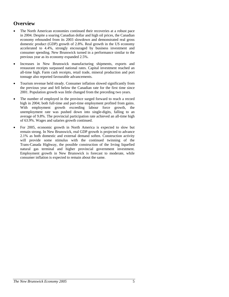# **Overview**

- The North American economies continued their recoveries at a robust pace in 2004. Despite a soaring Canadian dollar and high oil prices, the Canadian economy rebounded from its 2003 slowdown and demonstrated real gross domestic product (GDP) growth of 2.8%. Real growth in the US economy accelerated to 4.4%, strongly encouraged by business investment and consumer spending. New Brunswick turned in a performance similar to the previous year as its economy expanded 2.5%.
- Increases in New Brunswick manufacturing shipments, exports and restaurant receipts surpassed national rates. Capital investment reached an all-time high. Farm cash receipts, retail trade, mineral production and port tonnage also reported favourable advancements.
- Tourism revenue held steady. Consumer inflation slowed significantly from the previous year and fell below the Canadian rate for the first time since 2001. Population growth was little changed from the preceding two years.
- The number of employed in the province surged forward to reach a record high in 2004; both full-time and part-time employment profited from gains. With employment growth exceeding labour force growth, the unemployment rate was pushed down into single-digits, falling to an average of 9.8%. The provincial participation rate achieved an all-time high of 63.9%. Wages and salaries growth continued.
- For 2005, economic growth in North America is expected to slow but remain strong. In New Brunswick, real GDP growth is projected to advance 2.1% as both domestic and external demand soften. Construction activity will provide some stimulus with the continued twinning of the Trans-Canada Highway, the possible construction of the Irving liquefied natural gas terminal and higher provincial government investment. Employment growth in New Brunswick is forecast to moderate, while consumer inflation is expected to remain about the same.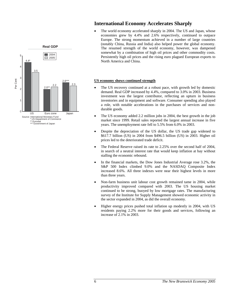

# **International Economy Accelerates Sharply**

The world economy accelerated sharply in 2004. The US and Japan, whose economies grew by 4.4% and 2.6% respectively, continued to outpace Europe. The strong momentum achieved in a number of large countries (notably China, Russia and India) also helped power the global economy. The resumed strength of the world economy, however, was dampened somewhat by a combination of high oil prices and other commodity costs. Persistently high oil prices and the rising euro plagued European exports to North America and China.

#### **US economy shows continued strength**

- The US recovery continued at a robust pace, with growth led by domestic demand. Real GDP increased by 4.4%, compared to 3.0% in 2003. Business investment was the largest contributor, reflecting an upturn in business inventories and in equipment and software. Consumer spending also played a role, with notable accelerations in the purchases of services and nondurable goods.
- The US economy added 2.2 million jobs in 2004, the best growth in the job market since 1999. Retail sales reported the largest annual increase in five years. The unemployment rate fell to 5.5% from 6.0% in 2003.
- Despite the depreciation of the US dollar, the US trade gap widened to \$617.7 billion (US) in 2004 from \$496.5 billion (US) in 2003. Higher oil prices led to the deteriorated trade deficit.
- The Federal Reserve raised its rate to 2.25% over the second half of 2004, in search of a neutral interest rate that would keep inflation at bay without stalling the economic rebound.
- In the financial markets, the Dow Jones Industrial Average rose 3.2%, the S&P 500 Index climbed 9.0% and the NASDAQ Composite Index increased 8.6%. All three indexes were near their highest levels in more than three years.
- Non-farm business unit labour cost growth remained tame in 2004, while productivity improved compared with 2003. The US housing market continued to be strong, buoyed by low mortgage rates. The manufacturing survey of the Institute for Supply Management showed economic activity in the sector expanded in 2004, as did the overall economy.
- Higher energy prices pushed total inflation up modestly in 2004, with US residents paying 2.2% more for their goods and services, following an increase of 2.1% in 2003.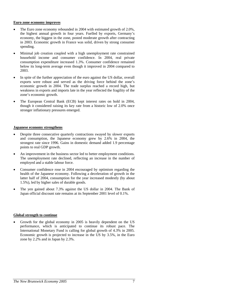#### **Euro zone economy improves**

- The Euro zone economy rebounded in 2004 with estimated growth of 2.0%, the highest annual growth in four years. Fuelled by exports, Germany's economy, the biggest in the zone, posted moderate growth after contracting in 2003. Economic growth in France was solid, driven by strong consumer spending.
- Minimal job creation coupled with a high unemployment rate constrained household income and consumer confidence. In 2004, real private consumption expenditure increased 1.3%. Consumer confidence remained below its long-term average even though it improved in 2004 compared to 2003.
- In spite of the further appreciation of the euro against the US dollar, overall exports were robust and served as the driving force behind the zone's economic growth in 2004. The trade surplus reached a record high, but weakness in exports and imports late in the year reflected the fragility of the zone's economic growth.
- The European Central Bank (ECB) kept interest rates on hold in 2004, though it considered raising its key rate from a historic low of 2.0% once stronger inflationary pressures emerged.

#### **Japanese economy strengthens**

- Despite three consecutive quarterly contractions swayed by slower exports and consumption, the Japanese economy grew by 2.6% in 2004, the strongest rate since 1996. Gains in domestic demand added 1.9 percentage points to real GDP growth.
- An improvement in the business sector led to better employment conditions. The unemployment rate declined, reflecting an increase in the number of employed and a stable labour force.
- Consumer confidence rose in 2004 encouraged by optimism regarding the health of the Japanese economy. Following a deceleration of growth in the latter half of 2004, consumption for the year increased modestly (by about 1.5%), led by higher sales of durable goods.
- The yen gained about 7.3% against the US dollar in 2004. The Bank of Japan official discount rate remains at its September 2001 level of 0.1%.

#### **Global strength to continue**

• Growth for the global economy in 2005 is heavily dependent on the US performance, which is anticipated to continue its robust pace. The International Monetary Fund is calling for global growth of 4.3% in 2005. Economic growth is projected to increase in the US by 3.5%, in the Euro zone by 2.2% and in Japan by 2.3%.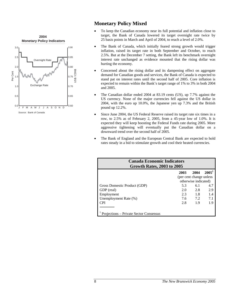

# **Monetary Policy Mixed**

- To keep the Canadian economy near its full potential and inflation close to target, the Bank of Canada lowered its target overnight rate twice by 25 basis points in March and April of 2004, to reach a level of 2.0%.
- The Bank of Canada, which initially feared strong growth would trigger inflation, raised its target rate in both September and October, to reach 2.5%. But at the December 7 setting, the Bank left its benchmark overnight interest rate unchanged as evidence mounted that the rising dollar was hurting the economy.
- Concerned about the rising dollar and its dampening effect on aggregate demand for Canadian goods and services, the Bank of Canada is expected to stand pat on interest rates until the second half of 2005. Core inflation is expected to remain within the Bank's target range of 1% to 3% in both 2004 and 2005.
- The Canadian dollar ended 2004 at 83.19 cents (US), up 7.7% against the US currency. None of the major currencies fell against the US dollar in 2004, with the euro up 10.0%, the Japanese yen up 7.3% and the British pound up 12.2%.
- Since June 2004, the US Federal Reserve raised its target rate six times in a row, to 2.5% as of February 2, 2005, from a 45-year low of 1.0%. It is expected they will keep boosting the Federal Funds rate during 2005. More aggressive tightening will eventually put the Canadian dollar on a downward trend over the second half of 2005.
- The Bank of England and the European Central Bank are expected to hold rates steady in a bid to stimulate growth and cool their heated currencies.

| <b>Canada Economic Indicators</b><br><b>Growth Rates, 2003 to 2005</b> |      |                          |                   |  |  |  |  |
|------------------------------------------------------------------------|------|--------------------------|-------------------|--|--|--|--|
|                                                                        | 2003 | 2004                     | 2005 <sup>1</sup> |  |  |  |  |
|                                                                        |      | (per cent change unless) |                   |  |  |  |  |
|                                                                        |      | otherwise indicated)     |                   |  |  |  |  |
| Gross Domestic Product (GDP)                                           | 5.3  | 6.1                      | 4.7               |  |  |  |  |
| GDP (real)                                                             | 2.0  | 2.8                      | 2.9               |  |  |  |  |
| Employment                                                             | 2.3  | 1.8                      | 1.4               |  |  |  |  |
| Unemployment Rate (%)                                                  | 7.6  | 7.2                      | 7.1               |  |  |  |  |
| <b>CPI</b>                                                             | 2.8  | 1.9                      | 1.9               |  |  |  |  |
|                                                                        |      |                          |                   |  |  |  |  |
| Projections – Private Sector Consensus                                 |      |                          |                   |  |  |  |  |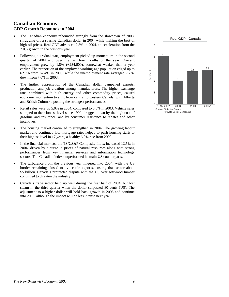# **Canadian Economy GDP Growth Rebounds in 2004**

- The Canadian economy rebounded strongly from the slowdown of 2003, shrugging off a soaring Canadian dollar in 2004 while making the best of high oil prices. Real GDP advanced 2.8% in 2004, an acceleration from the 2.0% growth in the previous year.
- Following a gradual start, employment picked up momentum in the second quarter of 2004 and over the last four months of the year. Overall, employment grew by 1.8% (+284,600), somewhat weaker than a year earlier. The proportion of the employed working-age population edged up to 62.7% from 62.4% in 2003, while the unemployment rate averaged 7.2%, down from 7.6% in 2003.
- The further appreciation of the Canadian dollar dampened exports, production and job creation among manufacturers. The higher exchange rate, combined with high energy and other commodity prices, caused economic momentum to shift from central to western Canada, with Alberta and British Columbia posting the strongest performances.
- Retail sales were up 5.0% in 2004, compared to 3.8% in 2003. Vehicle sales slumped to their lowest level since 1999, dragged down by the high cost of gasoline and insurance, and by consumer resistance to rebates and other incentives.
- The housing market continued to strengthen in 2004. The growing labour market and continued low mortgage rates helped to push housing starts to their highest level in 17 years, a healthy 6.9% rise from 2003.
- In the financial markets, the TSX/S&P Composite Index increased 12.5% in 2004, driven by a surge in prices of natural resources along with strong performances from key financial services and information technology sectors. The Canadian index outperformed its main US counterparts.
- The turbulence from the previous year lingered into 2004, with the US border remaining closed to live cattle exports, costing that sector about \$5 billion. Canada's protracted dispute with the US over softwood lumber continued to threaten the industry.
- Canada's trade sector held up well during the first half of 2004, but lost steam in the third quarter when the dollar surpassed 80 cents (US). The adjustment to a higher dollar will hold back growth in 2005 and continue into 2006, although the impact will be less intense next year.

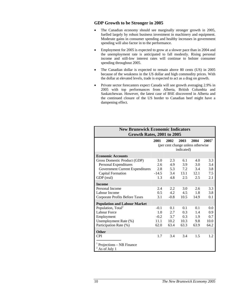#### **GDP Growth to be Stronger in 2005**

- The Canadian economy should see marginally stronger growth in 2005, fuelled largely by robust business investment in machinery and equipment. Moderate gains in consumer spending and healthy increases in government spending will also factor in to the performance.
- Employment for 2005 is expected to grow at a slower pace than in 2004 and the unemployment rate is anticipated to fall modestly. Rising personal income and still-low interest rates will continue to bolster consumer spending throughout 2005.
- The Canadian dollar is expected to remain above 80 cents (US) in 2005 because of the weakness in the US dollar and high commodity prices. With the dollar at elevated levels, trade is expected to act as a drag on growth.
- Private sector forecasters expect Canada will see growth averaging 2.9% in 2005 with top performances from Alberta, British Columbia and Saskatchewan. However, the latest case of BSE discovered in Alberta and the continued closure of the US border to Canadian beef might have a dampening effect.

| <b>New Brunswick Economic Indicators</b><br><b>Growth Rates, 2001 to 2005</b> |               |                                   |               |      |          |  |
|-------------------------------------------------------------------------------|---------------|-----------------------------------|---------------|------|----------|--|
|                                                                               | 2001          | 2002                              | 2003          | 2004 | $2005^1$ |  |
|                                                                               |               | (per cent change unless otherwise |               |      |          |  |
|                                                                               |               |                                   | indicated)    |      |          |  |
|                                                                               |               |                                   |               |      |          |  |
| <b>Economic Accounts</b>                                                      |               |                                   |               |      |          |  |
| Gross Domestic Product (GDP)                                                  | 3.0           | 2.3                               | 6.1           | 4.0  | 3.3      |  |
| Personal Expenditures                                                         | 2.6           | 4.9                               | 3.9           | 3.0  | 3.4      |  |
| <b>Government Current Expenditures</b>                                        | 2.8           | 5.3                               | 7.2           | 3.4  | 3.8      |  |
| Capital Formation                                                             | $-14.5$       | 3.4                               | 13.1          | 12.1 | 7.5      |  |
| GDP (real)                                                                    | 1.3           | 4.8                               | 2.5           | 2.5  | 2.1      |  |
| <b>Income</b>                                                                 |               |                                   |               |      |          |  |
| Personal Income                                                               | 2.4           | 2.2                               | 3.0           | 2.6  | 3.3      |  |
| Labour Income                                                                 | $0.5^{\circ}$ | 4.2                               | $4.5^{\circ}$ | 1.8  | 3.8      |  |
| <b>Corporate Profits Before Taxes</b>                                         | 3.1           | $-0.8$                            | 10.5          | 14.9 | 0.1      |  |
| <b>Population and Labour Market</b>                                           |               |                                   |               |      |          |  |
| Population, Total <sup>2</sup>                                                | $-0.1$        | 0.1                               | 0.1           | 0.1  | 0.0      |  |
| Labour Force                                                                  | 1.0           | 2.7                               | 0.3           | 1.4  | 0.9      |  |
| Employment                                                                    | $-0.2$        | 3.7                               | 0.3           | 1.9  | 0.7      |  |
| Unemployment Rate (%)                                                         | 11.1          | 10.2                              | 10.3          | 9.8  | 10.0     |  |
| Participation Rate (%)                                                        | 62.0          | 63.4                              | 63.3          | 63.9 | 64.2     |  |
| <b>Other</b>                                                                  |               |                                   |               |      |          |  |
| <b>CPI</b>                                                                    | 1.7           | 3.4                               | 3.4           | 1.5  | 1.2      |  |
|                                                                               |               |                                   |               |      |          |  |
| Projections - NB Finance                                                      |               |                                   |               |      |          |  |
| $2$ As of July 1                                                              |               |                                   |               |      |          |  |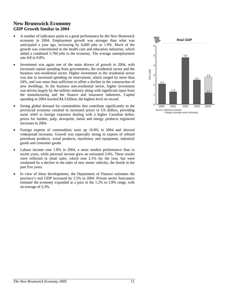# **New Brunswick Economy GDP Growth Similar in 2004**

- A number of indicators point to a good performance by the New Brunswick economy in 2004. Employment growth was stronger than what was anticipated a year ago, increasing by 6,600 jobs or 1.9%. Much of the growth was concentrated in the health care and education industries, which added a combined 5,700 jobs to the economy. The average unemployment rate fell to 9.8%.
- Investment was again one of the main drivers of growth in 2004, with increased capital spending from governments, the residential sector and the business non-residential sector. Higher investment in the residential sector was due to increased spending on renovations, which surged by more than 24%, and was more than sufficient to offset a decline in the construction of new dwellings. In the business non-residential sector, higher investment was driven largely by the utilities industry along with significant input from the manufacturing and the finance and insurance industries. Capital spending in 2004 reached \$4.3 billion, the highest level on record.
- Strong global demand for commodities that contribute significantly to the provincial economy resulted in increased prices in US dollars, providing some relief to foreign exporters dealing with a higher Canadian dollar; prices for lumber, pulp, newsprint, metal and energy products registered increases in 2004.
- Foreign exports of commodities were up 10.8% in 2004 and showed widespread increases. Growth was especially strong in exports of refined petroleum products, wood products, machinery and equipment, industrial goods and consumer goods.
- Labour income rose 1.8% in 2004, a more modest performance than in recent years, while personal income grew an estimated 2.6%. These results were reflected in retail sales, which rose 2.1% for the year, but were weakened by a decline in the sales of new motor vehicles, the fourth in the past five years.
- In view of these developments, the Department of Finance estimates the province's real GDP increased by 2.5% in 2004. Private sector forecasters estimate the economy expanded at a pace in the 1.2% to 2.8% range, with an average of 2.3%.

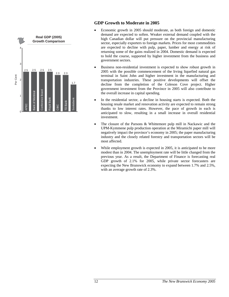

# **GDP Growth to Moderate in 2005**

- Economic growth in 2005 should moderate, as both foreign and domestic demand are expected to soften. Weaker external demand coupled with the high Canadian dollar will put pressure on the provincial manufacturing sector, especially exporters to foreign markets. Prices for most commodities are expected to decline with pulp, paper, lumber and energy at risk of returning some of the gains realized in 2004. Domestic demand is expected to hold the course, supported by higher investment from the business and government sectors.
- Business non-residential investment is expected to show robust growth in 2005 with the possible commencement of the Irving liquefied natural gas terminal in Saint John and higher investment in the manufacturing and transportation industries. These positive developments will offset the decline from the completion of the Coleson Cove project. Higher government investment from the Province in 2005 will also contribute to the overall increase in capital spending.
- In the residential sector, a decline in housing starts is expected. Both the housing resale market and renovation activity are expected to remain strong thanks to low interest rates. However, the pace of growth in each is anticipated to slow, resulting in a small increase in overall residential investment.
- The closure of the Parsons & Whittemore pulp mill in Nackawic and the UPM-Kymmene pulp production operation at the Miramichi paper mill will negatively impact the province's economy in 2005; the paper manufacturing industry and the closely related forestry and transportation sectors will be most affected.
- While employment growth is expected in 2005, it is anticipated to be more modest than in 2004. The unemployment rate will be little changed from the previous year. As a result, the Department of Finance is forecasting real GDP growth of 2.1% for 2005, while private sector forecasters are expecting the New Brunswick economy to expand between 1.7% and 2.5%, with an average growth rate of 2.3%.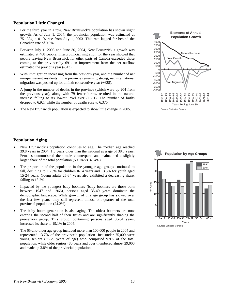#### **Population Little Changed**

- For the third year in a row, New Brunswick's population has shown slight growth. As of July 1, 2004, the provincial population was estimated at 751,384, a 0.1% rise from July 1, 2003. This rate lagged far behind the Canadian rate of 0.9%.
- Between July 1, 2003 and June 30, 2004, New Brunswick's growth was estimated at 488 people. Interprovincial migration for the year showed that people leaving New Brunswick for other parts of Canada exceeded those coming to the province by 691, an improvement from the net outflow estimated the previous year (-843).
- With immigration increasing from the previous year, and the number of net non-permanent residents in the province remaining strong, net international migration was pushed up for a ninth consecutive year (+628).
- A jump in the number of deaths in the province (which were up 204 from the previous year), along with 79 fewer births, resulted in the natural increase falling to its lowest level ever (+551). The number of births dropped to 6,927 while the number of deaths rose to 6,376.
- The New Brunswick population is expected to show little change in 2005.



Source: Statistics Canada

#### **Population Aging**

- New Brunswick's population continues to age. The median age reached 39.8 years in 2004, 1.5 years older than the national average of 38.3 years. Females outnumbered their male counterparts and maintained a slightly larger share of the total population (50.6% vs. 49.4%).
- The proportion of the population in the younger age groups continued to fall, declining to 16.5% for children 0-14 years and 13.3% for youth aged 15-24 years. Young adults 25-34 years also exhibited a decreasing share, falling to 13.2%.
- Impacted by the youngest baby boomers (baby boomers are those born between 1947 and 1966), persons aged 35-49 years dominate the demographic landscape. While growth of this age group has slowed over the last few years, they still represent almost one-quarter of the total provincial population (24.2%).
- The baby boom generation is also aging. The oldest boomers are now entering the second half of their fifties and are significantly shaping the pre-seniors group. This group, containing persons aged 50-64 years, increased its share to 19.1% in 2004.
- The 65-and-older age group included more than 100,000 people in 2004 and represented 13.7% of the province's population. Just under 75,000 were young seniors (65-79 years of age) who comprised 9.9% of the total population, while older seniors (80 years and over) numbered almost 29,000 and made up 3.8% of the provincial population.

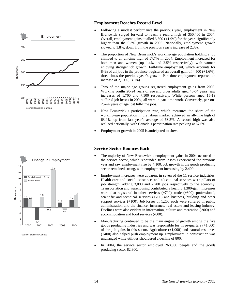



Source: Statistics Canada

#### **Employment Reaches Record Level**

- Following a modest performance the previous year, employment in New Brunswick surged forward to reach a record high of 350,400 in 2004. Overall, employment gains totalled 6,600 (+1.9%) for the year, significantly higher than the 0.3% growth in 2003. Nationally, employment growth slowed to 1.8%, down from the previous year's increase of 2.3%.
- The proportion of New Brunswick's working-age population holding a job climbed to an all-time high of 57.7% in 2004. Employment increased for both men and women (up 1.4% and 2.5% respectively), with women enjoying stronger job growth. Full-time employment, which accounts for 84% of all jobs in the province, registered an overall gain of 4,500 (+1.6%), three times the previous year's growth. Part-time employment reported an increase of 2,100 (+3.9%).
- Two of the major age groups registered employment gains from 2003. Working youths 20-24 years of age and older adults aged 45-64 years, saw increases of 1,700 and 7,100 respectively. While persons aged 15-19 suffered job losses in 2004, all were in part-time work. Conversely, persons 25-44 years of age lost full-time jobs.
- New Brunswick's participation rate, which measures the share of the working-age population in the labour market, achieved an all-time high of 63.9%, up from last year's average of 63.3%. A record high was also realized nationally, with Canada's participation rate peaking at 67.6%.
- Employment growth in 2005 is anticipated to slow.

## **Service Sector Bounces Back**

- The majority of New Brunswick's employment gains in 2004 occurred in the service sector, which rebounded from losses experienced the previous year and saw employment rise by 4,100. Job growth in the goods producing sector remained strong, with employment increasing by 2,400.
- Employment increases were apparent in seven of the 11 service industries. Health care and social assistance, and educational services were pillars of job strength, adding 3,000 and 2,700 jobs respectively to the economy. Transportation and warehousing contributed a healthy 1,300-gain. Increases were also registered in other services (+700), trade (+300), professional, scientific and technical services (+200) and business, building and other support services  $(+100)$ . Job losses of 1,200 each were suffered in public administration and the finance, insurance, real estate and leasing industry. Declines were also evident in information, culture and recreation (-900) and accommodation and food services (-600).
- Manufacturing continued to be the main engine of growth among the five goods producing industries and was responsible for three-quarters (+1,800) of the job gains in this sector. Agriculture  $(+1,000)$  and natural resources (+400) also helped push employment up. Employment in construction was unchanged while utilities shouldered a decline of 800.
- In 2004, the service sector employed 268,000 people and the goods producing sector 82,300.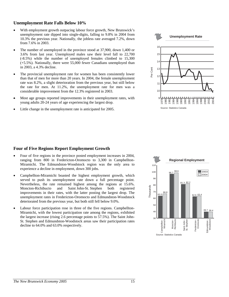#### **Unemployment Rate Falls Below 10%**

- With employment growth outpacing labour force growth, New Brunswick's unemployment rate dipped into single-digits, falling to 9.8% in 2004 from 10.3% the previous year. Nationally, the jobless rate averaged 7.2%, down from 7.6% in 2003.
- The number of unemployed in the province stood at 37,900, down 1,400 or 3.6% from last year. Unemployed males saw their level fall to 22,700 (-8.5%) while the number of unemployed females climbed to 15,300 (+5.5%). Nationally, there were 55,000 fewer Canadians unemployed than in 2003, a 4.3% decline.
- The provincial unemployment rate for women has been consistently lower than that of men for more than 20 years. In 2004, the female unemployment rate was 8.2%, a slight deterioration from the previous year, but still below the rate for men. At 11.2%, the unemployment rate for men was a considerable improvement from the 12.3% registered in 2003.
- Most age groups reported improvements in their unemployment rates, with young adults 20-24 years of age experiencing the largest drop.
- Little change in the unemployment rate is anticipated for 2005.



#### **Four of Five Regions Report Employment Growth**

- Four of five regions in the province posted employment increases in 2004, ranging from 800 in Fredericton-Oromocto to 3,300 in Campbellton-Miramichi. The Edmundston-Woodstock region was the only area to experience a decline in employment, down 300 jobs.
- Campbellton-Miramichi boasted the highest employment growth, which served to push its unemployment rate down a full percentage point. Nevertheless, the rate remained highest among the regions at 15.6%. Moncton-Richibucto and Saint John-St. Stephen both registered improvements in their rates, with the latter posting the largest drop. The unemployment rates in Fredericton-Oromocto and Edmundston-Woodstock deteriorated from the previous year, but both still fell below 9.0%.
- Labour force participation rose in three of the five regions. Campbellton-Miramichi, with the lowest participation rate among the regions, exhibited the largest increase (rising 2.6 percentage points to 57.5%). The Saint John-St. Stephen and Edmundston-Woodstock areas saw their participation rates decline to 64.0% and 63.0% respectively.

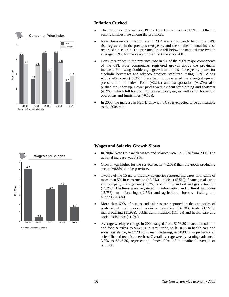

# **Inflation Curbed**

- The consumer price index (CPI) for New Brunswick rose 1.5% in 2004, the second smallest rise among the provinces.
- New Brunswick's inflation rate in 2004 was significantly below the 3.4% rise registered in the previous two years, and the smallest annual increase recorded since 1998. The provincial rate fell below the national rate (which averaged 1.9% for the year) for the first time since 2001.
- Consumer prices in the province rose in six of the eight major components of the CPI. Four components registered growth above the provincial increase. Following double-digit growth in the last three years, prices for alcoholic beverages and tobacco products stabilized, rising 2.3%. Along with shelter costs (+2.3%), these two groups exerted the strongest upward pressure on the index. Food  $(+2.2%)$  and transportation  $(+1.7%)$  also pushed the index up. Lower prices were evident for clothing and footwear (-0.9%), which fell for the third consecutive year, as well as for household operations and furnishings (-0.1%).
- In 2005, the increase in New Brunswick's CPI is expected to be comparable to the 2004 rate.



# **Wages and Salaries Growth Slows**

- In 2004, New Brunswick wages and salaries were up 1.6% from 2003. The national increase was 3.9%.
- Growth was higher for the service sector  $(+2.0\%)$  than the goods producing sector (+0.8%) for the province.
- Twelve of the 15 major industry categories reported increases with gains of more than 5% in construction  $(+5.8\%)$ , utilities  $(+5.5\%)$ , finance, real estate and company management  $(+5.2\%)$  and mining and oil and gas extraction (+5.2%). Declines were registered in information and cultural industries (-5.7%), manufacturing (-2.7%) and agriculture, forestry, fishing and hunting (-1.4%).
- More than 60% of wages and salaries are captured in the categories of professional and personal services industries (14.0%), trade (12.5%), manufacturing (11.9%), public administration (11.4%) and health care and social assistance (11.2%).
- Average weekly earnings in 2004 ranged from \$276.80 in accommodation and food services, to \$460.54 in retail trade, to \$610.75 in health care and social assistance, to \$729.43 in manufacturing, to \$839.12 in professional, scientific and technical services. Overall average weekly earnings advanced 3.0% to \$643.26, representing almost 92% of the national average of \$700.88.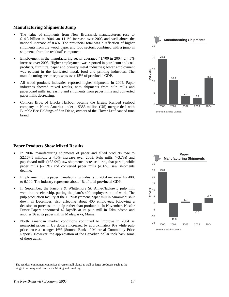#### **Manufacturing Shipments Jump**

- The value of shipments from New Brunswick manufacturers rose to \$14.3 billion in 2004, an 11.1% increase over 2003 and well above the national increase of 8.4%. The provincial total was a reflection of higher shipments from the wood, paper and food sectors, combined with a jump in shipments from the residual<sup>1</sup> component.
- Employment in the manufacturing sector averaged 41,700 in 2004, a 4.5% increase over 2003. Higher employment was reported in petroleum and coal products, furniture, paper and primary metal industries; lower employment was evident in the fabricated metal, food and printing industries. The manufacturing sector represents over 15% of provincial GDP.
- All wood products industries reported higher shipments in 2004. Paper industries showed mixed results, with shipments from pulp mills and paperboard mills increasing and shipments from paper mills and converted paper mills decreasing.
- Connors Bros. of Blacks Harbour became the largest branded seafood company in North America under a \$385-million (US) merger deal with Bumble Bee Holdings of San Diego, owners of the Clover Leaf canned tuna brand.



#### **Paper Products Show Mixed Results**

- In 2004, manufacturing shipments of paper and allied products rose to \$2,167.5 million, a 4.0% increase over 2003. Pulp mills (+3.7%) and paperboard mills (+38.9%) saw shipments increase during that period, while paper mills (-2.5%) and converted paper mills (-8.6%) saw shipments decline.
- Employment in the paper manufacturing industry in 2004 increased by 400, to 6,100. The industry represents about 4% of total provincial GDP.
- In September, the Parsons & Whittemore St. Anne-Nackawic pulp mill went into receivership, putting the plant's 400 employees out of work. The pulp production facility at the UPM-Kymmene paper mill in Miramichi shut down in December, also affecting about 400 employees, following a decision to purchase the pulp rather than produce it. In November, Nexfor Fraser Papers announced 42 layoffs at its pulp mill in Edmundston and another 36 at its paper mill in Madawaska, Maine.
- North American market conditions continued to improve in 2004 as newsprint prices in US dollars increased by approximately 9% while pulp prices rose a stronger 16% (Source: Bank of Montreal Commodity Price Report). However, the appreciation of the Canadian dollar took back some of these gains.



 $\overline{a}$ 

<sup>1</sup> The residual component comprises diverse small plants as well as large producers such as the Irving Oil refinery and Brunswick Mining and Smelting.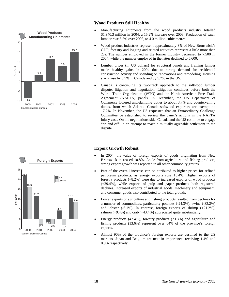

## **Wood Products Still Healthy**

- Manufacturing shipments from the wood products industry totalled \$1,940.3 million in 2004, a 15.2% increase over 2003. Production of sawn lumber rose 6.5% over 2003, to 4.0 million cubic metres.
- Wood product industries represent approximately 3% of New Brunswick's GDP; forestry and logging and related activities represent a little more than 2%. The number employed in the former industry decreased to 7,500 in 2004, while the number employed in the latter declined to 5,600.
- Lumber prices (in US dollars) for structural panels and framing lumber made healthy gains in 2004 due to strong demand for residential construction activity and spending on renovations and remodeling. Housing starts rose by 6.9% in Canada and by 5.7% in the US.
- Canada is continuing its two-track approach to the softwood lumber dispute: litigation and negotiation. Litigation continues before both the World Trade Organization (WTO) and the North American Free Trade Agreement (NAFTA) panels. In December, the US Department of Commerce lowered anti-dumping duties to about 3.7% and countervailing duties, from which Atlantic Canada softwood exporters are exempt, to 17.2%. In November, the US requested that an Extraordinary Challenge Committee be established to review the panel's actions in the NAFTA injury case. On the negotiations side, Canada and the US continue to engage "on and off" in an attempt to reach a mutually agreeable settlement to the dispute.

# **Export Growth Robust**

- In 2004, the value of foreign exports of goods originating from New Brunswick increased 10.8%. Aside from agriculture and fishing products, strong export growth was reported in all other commodity groups.
- Part of the overall increase can be attributed to higher prices for refined petroleum products, as energy exports rose 15.4%. Higher exports of forestry products (+8.2%) were due to increased exports of wood products (+29.4%), while exports of pulp and paper products both registered declines. Increased exports of industrial goods, machinery and equipment, and consumer goods also contributed to the total growth.
- Lower exports of agriculture and fishing products resulted from declines for a number of commodities, particularly potatoes (-24.3%), swine (-83.2%) and lobster  $(-6.1\%)$ . In contrast, foreign exports of shrimp  $(+21.2\%)$ , salmon (+9.4%) and crab (+43.4%) appreciated quite substantially.
- Energy products (47.4%), forestry products (23.3%) and agriculture and fishing products (13.6%) represent over 84% of the province's foreign exports.
- Almost 90% of the province's foreign exports are destined to the US markets. Japan and Belgium are next in importance, receiving 1.4% and 0.9% respectively.

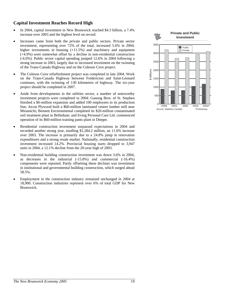#### **Capital Investment Reaches Record High**

- In 2004, capital investment in New Brunswick reached \$4.3 billion, a 7.4% increase over 2003 and the highest level on record.
- Increases came from both the private and public sectors. Private sector investment, representing over 72% of the total, increased 5.6% in 2004; higher investments in housing  $(+11.5%)$  and machinery and equipment (+4.9%) were somewhat offset by a decline in non-residential construction (-6.0%). Public sector capital spending jumped 12.6% in 2004 following a strong increase in 2003, largely due to increased investment on the twinning of the Trans-Canada Highway and on the Coleson Cove project.
- The Coleson Cove refurbishment project was completed in late 2004. Work on the Trans-Canada Highway between Fredericton and Saint-Léonard continues, with the twinning of 130 kilometres of highway. The six-year project should be completed in 2007.
- Aside from developments in the utilities sector, a number of noteworthy investment projects were completed in 2004: Ganong Bros. of St. Stephen finished a \$6-million expansion and added 100 employees to its production line; Atcon Plywood built a \$60-million laminated veneer lumber mill near Miramichi; Bennett Environmental completed its \$20-million contaminated soil treatment plant in Belledune; and Irving Personal Care Ltd. commenced operation of its \$60-million training pants plant in Dieppe.
- Residential construction investment surpassed expectations in 2004 and recorded another strong year, totalling \$1,284.2 million, an 11.6% increase over 2003. The increase is primarily due to a 24.8% jump in renovation expenditures and a strong resale market. Nationally, residential construction investment increased 14.2%. Provincial housing starts dropped to 3,947 units in 2004, a 12.1% decline from the 20-year high of 2003.
- Non-residential building construction investment was down 3.6% in 2004, as decreases in the industrial (-15.8%) and commercial (-16.4%) components were reported. Partly offsetting these declines was investment in institutional and governmental building construction, which surged ahead 58.5%.
- Employment in the construction industry remained unchanged in 2004 at 18,900. Construction industries represent over 6% of total GDP for New Brunswick.

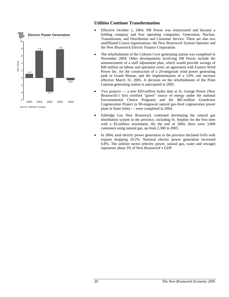

## **Utilities Continue Transformation**

- Effective October 1, 2004, NB Power was restructured and became a holding company and four operating companies: Generation, Nuclear, Transmission, and Distribution and Customer Service. There are also two unaffiliated Crown organizations: the New Brunswick System Operator and the New Brunswick Electric Finance Corporation.
- The refurbishment of the Coleson Cove generating station was completed in November 2004. Other developments involving NB Power include the announcement of a staff adjustment plan, which would provide savings of \$40 million on labour and operation costs; an agreement with Eastern Wind Power Inc. for the construction of a 20-megawatt wind power generating park in Grand Manan; and the implementation of a 3.0% rate increase effective March 31, 2005. A decision on the refurbishment of the Point Lepreau generating station is anticipated in 2005.
- Two projects a new \$20-million hydro dam at St. George Power (New Brunswick's first certified "green" source of energy under the national Environmental Choice Program) and the \$85-million Grandview Cogeneration Project (a 90-megawatt natural gas-fired cogeneration power plant in Saint John) — were completed in 2004.
- Enbridge Gas New Brunswick continued developing the natural gas distribution system in the province, including St. Stephen for the first time with a \$3-million investment. By the end of 2004, there were 3,000 customers using natural gas, up from 2,300 in 2003.
- In 2004, total electric power generation in the province declined 0.6% with exports dropping 10.2%. National electric power generation increased 0.8%. The utilities sector (electric power, natural gas, water and sewage) represents about 3% of New Brunswick's GDP.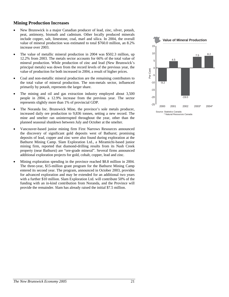#### **Mining Production Increases**

- New Brunswick is a major Canadian producer of lead, zinc, silver, potash, peat, antimony, bismuth and cadmium. Other locally produced minerals include copper, salt, limestone, coal, marl and silica. In 2004, the overall value of mineral production was estimated to total \$760.0 million, an 8.2% increase over 2003.
- The value of metallic mineral production in 2004 was \$502.3 million, up 12.2% from 2003. The metals sector accounts for 66% of the total value of mineral production. While production of zinc and lead (New Brunswick's principal metals) was down from the record levels of the previous year, the value of production for both increased in 2004, a result of higher prices.
- Coal and non-metallic mineral production are the remaining contributors to the total value of mineral production. The non-metals sector, influenced primarily by potash, represents the larger share.
- The mining and oil and gas extraction industry employed about 3,500 people in 2004, a 12.9% increase from the previous year. The sector represents slightly more than 1% of provincial GDP.
- The Noranda Inc. Brunswick Mine, the province's sole metals producer, increased daily ore production to 9,836 tonnes, setting a new record. The mine and smelter ran uninterrupted throughout the year, other than the planned seasonal shutdown between July and October at the smelter.
- Vancouver-based junior mining firm First Narrows Resources announced the discovery of significant gold deposits west of Bathurst; promising deposits of lead, copper and zinc were also found during exploration at the Bathurst Mining Camp. Slam Exploration Ltd., a Miramichi-based junior mining firm, reported that diamond-drilling results from its Nash Creek property (near Bathurst) are "ore-grade mineral". Several firms announced additional exploration projects for gold, cobalt, copper, lead and zinc.
- Mining exploration spending in the province reached \$8.8 million in 2004. The three-year, \$15-million grant program for the Bathurst Mining Camp entered its second year. The program, announced in October 2003, provides for advanced exploration and may be extended for an additional two years with a further \$10 million. Slam Exploration Ltd. will contribute 50% of the funding with an in-kind contribution from Noranda, and the Province will provide the remainder. Slam has already raised the initial \$7.5 million.

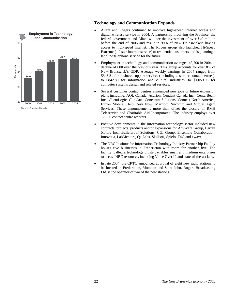

# **Technology and Communication Expands**

- Aliant and Rogers continued to improve high-speed Internet access and digital wireless service in 2004. A partnership involving the Province, the federal government and Aliant will see the investment of over \$40 million before the end of 2006 and result in 90% of New Brunswickers having access to high-speed Internet. The Rogers group also launched Hi-Speed Extreme (a faster Internet service) to residential customers and is planning a landline telephone service for the future.
- Employment in technology and communication averaged 48,700 in 2004, a decline of 600 over the previous year. This group accounts for over 8% of New Brunswick's GDP. Average weekly earnings in 2004 ranged from \$343.81 for business support services (including customer contact centres), to \$842.80 for information and cultural industries, to \$1,059.95 for computer systems design and related services.
- Several customer contact centres announced new jobs or future expansion plans including: AOL Canada, Asurion, Cendant Canada Inc., CenterBeam Inc., ClientLogic, Clinidata, Concentra Solutions, Connect North America, Exxon Mobile, Help Desk Now, Marriott, Nucomm and Virtual Agent Services. These announcements more than offset the closure of RMH Teleservice and Charitable Aid Incorporated. The industry employs over 17,000 contact centre workers.
- Positive developments in the information technology sector included new contracts, projects, products and/or expansions for AnyWare Group, Barrett Xplore Inc., Bulletproof Solutions, CGI Group, Ensemble Collaboration, Innovatia, LabMentors, Q1 Labs, Skillsoft, Spielo, T4G and xwave.
- The NRC Institute for Information Technology Industry Partnership Facility houses five businesses in Fredericton with room for another five. The facility, called a technology cluster, enables small and medium enterprises to access NRC resources, including Voice Over IP and state-of-the-art labs.
- In late 2004, the CRTC announced approval of eight new radio stations to be located in Fredericton, Moncton and Saint John. Rogers Broadcasting Ltd. is the operator of two of the new stations.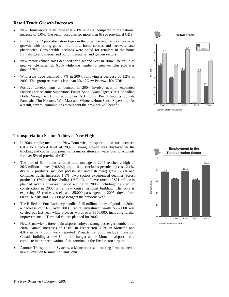#### **Retail Trade Growth Increases**

- New Brunswick's retail trade rose 2.1% in 2004, compared to the national increase of 5.0%. The sector accounts for more than 6% of provincial GDP.
- Eight of the 12 published store types in the province reported positive sales growth, with strong gains in furniture, home centres and hardware, and pharmacies. Considerable declines were noted for retailers in the home furnishings and specialized building material and garden sectors.
- New motor vehicle sales declined for a second year in 2004. The value of new vehicle sales fell 6.5% while the number of new vehicles sold was down 7.7%.
- Wholesale trade declined 0.7% in 2004, following a decrease of 1.2% in 2003. This group represents less than 5% of New Brunswick's GDP.
- Positive developments announced in 2004 involve new or expanded facilities for Atlantic Superstore, Future Shop, Giant Tiger, Great Canadian Dollar Store, Kent Building Supplies, NB Liquor, Pier 1 Imports, Sounds Fantastic, Tim Hortons, Wal-Mart and Winners/HomeSense Superstore. As a result, several communities throughout the province will benefit.



## **Transportation Sector Achieves New High**

- In 2004, employment in the New Brunswick transportation sector increased 6.8% to a record level of 20,400; strong growth was displayed in the trucking and courier components. Transportation and warehousing accounts for over 5% of provincial GDP.
- The port of Saint John reported total tonnage in 2004 reached a high of 26.3 million tonnes (+0.8%); liquid bulk (includes petroleum) rose 2.1%, dry bulk products (includes potash, salt and fish meal) grew 12.7% and container traffic increased 1.8%. Two sectors experienced declines; forest products (-16%) and breakbulk (-12%). Capital investment of \$31 million is planned over a five-year period ending in 2008, including the start of construction in 2005 on a new cruise terminal building. The port is expecting 35 cruise vessels and 85,000 passengers in 2005, down from 60 cruise calls and 138,800 passengers the previous year.
- The Belledune Port Authority handled 2.15 million tonnes of goods in 2004, a decrease of 7.6% over 2003. Capital investment worth \$537,000 was carried out last year while projects worth over \$650,000, including further improvements to Terminal #1, are planned for 2005.
- New Brunswick's three main airports enjoyed strong passenger numbers for 2004. Annual increases of 12.0% in Fredericton, 7.6% in Moncton and 4.0% in Saint John were reported. Projects for 2005 include Transport Canada building a new \$9-million hangar at the Moncton airport and a complete interior renovation of the terminal at the Fredericton airport.
- Armour Transportation Systems, a Moncton-based trucking firm, opened a new \$1-million terminal in Saint John.